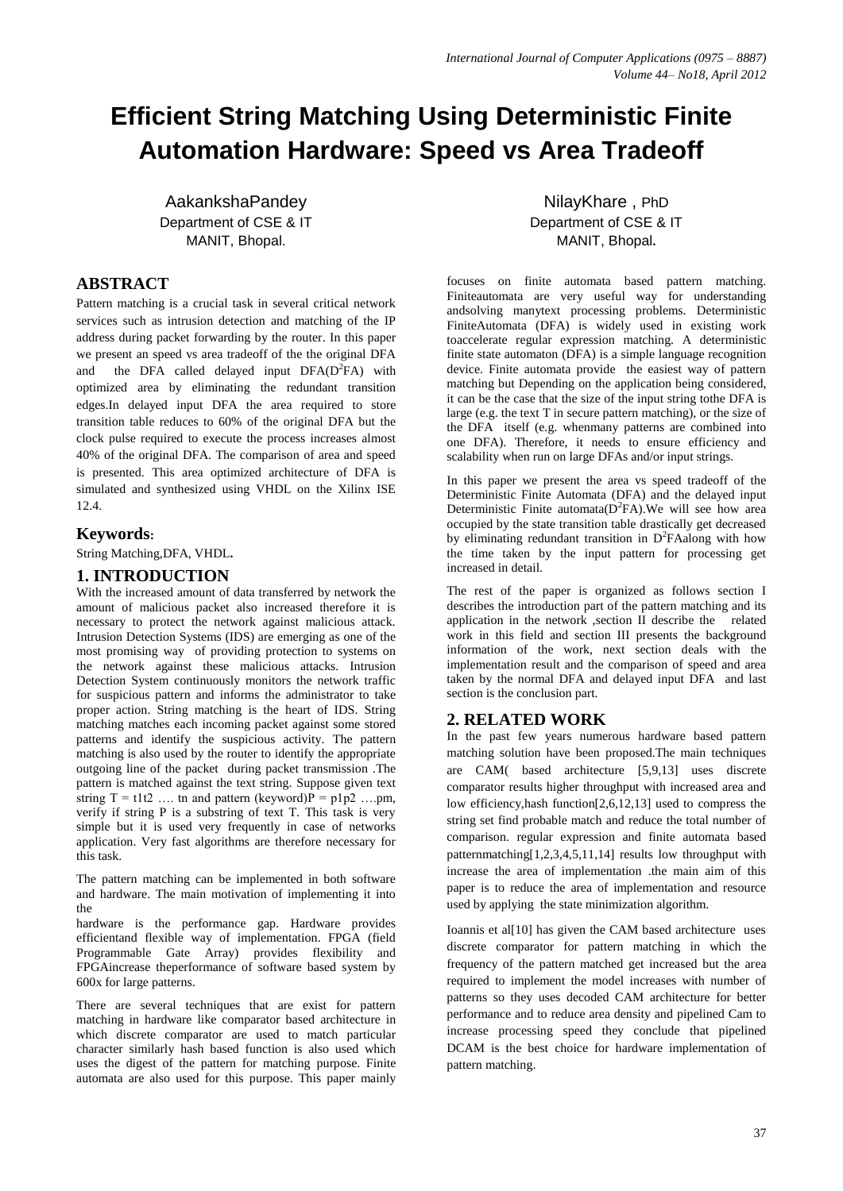# **Efficient String Matching Using Deterministic Finite Automation Hardware: Speed vs Area Tradeoff**

AakankshaPandey Department of CSE & IT MANIT, Bhopal.

# **ABSTRACT**

Pattern matching is a crucial task in several critical network services such as intrusion detection and matching of the IP address during packet forwarding by the router. In this paper we present an speed vs area tradeoff of the the original DFA and the DFA called delayed input  $DFA(D^2FA)$  with optimized area by eliminating the redundant transition edges.In delayed input DFA the area required to store transition table reduces to 60% of the original DFA but the clock pulse required to execute the process increases almost 40% of the original DFA. The comparison of area and speed is presented. This area optimized architecture of DFA is simulated and synthesized using VHDL on the Xilinx ISE 12.4.

### **Keywords:**

String Matching,DFA, VHDL**.**

#### **1. INTRODUCTION**

With the increased amount of data transferred by network the amount of malicious packet also increased therefore it is necessary to protect the network against malicious attack. Intrusion Detection Systems (IDS) are emerging as one of the most promising way of providing protection to systems on the network against these malicious attacks. Intrusion Detection System continuously monitors the network traffic for suspicious pattern and informs the administrator to take proper action. String matching is the heart of IDS. String matching matches each incoming packet against some stored patterns and identify the suspicious activity. The pattern matching is also used by the router to identify the appropriate outgoing line of the packet during packet transmission .The pattern is matched against the text string. Suppose given text string  $T = t1t2$  .... tn and pattern (keyword) $\overline{P} = p1p2$  ....pm, verify if string P is a substring of text T. This task is very simple but it is used very frequently in case of networks application. Very fast algorithms are therefore necessary for this task.

The pattern matching can be implemented in both software and hardware. The main motivation of implementing it into the

hardware is the performance gap. Hardware provides efficientand flexible way of implementation. FPGA (field Programmable Gate Array) provides flexibility and FPGAincrease theperformance of software based system by 600x for large patterns.

There are several techniques that are exist for pattern matching in hardware like comparator based architecture in which discrete comparator are used to match particular character similarly hash based function is also used which uses the digest of the pattern for matching purpose. Finite automata are also used for this purpose. This paper mainly

NilayKhare , PhD Department of CSE & IT MANIT, Bhopal**.**

focuses on finite automata based pattern matching. Finiteautomata are very useful way for understanding andsolving manytext processing problems. Deterministic FiniteAutomata (DFA) is widely used in existing work toaccelerate regular expression matching. A deterministic finite state automaton (DFA) is a simple language recognition device. Finite automata provide the easiest way of pattern matching but Depending on the application being considered, it can be the case that the size of the input string tothe DFA is large (e.g. the text T in secure pattern matching), or the size of the DFA itself (e.g. whenmany patterns are combined into one DFA). Therefore, it needs to ensure efficiency and scalability when run on large DFAs and/or input strings.

In this paper we present the area vs speed tradeoff of the Deterministic Finite Automata (DFA) and the delayed input Deterministic Finite automata( $D^2FA$ ). We will see how area occupied by the state transition table drastically get decreased by eliminating redundant transition in  $D^2F$ Aalong with how the time taken by the input pattern for processing get increased in detail.

The rest of the paper is organized as follows section I describes the introduction part of the pattern matching and its application in the network ,section II describe the related work in this field and section III presents the background information of the work, next section deals with the implementation result and the comparison of speed and area taken by the normal DFA and delayed input DFA and last section is the conclusion part.

#### **2. RELATED WORK**

In the past few years numerous hardware based pattern matching solution have been proposed.The main techniques are CAM( based architecture [5,9,13] uses discrete comparator results higher throughput with increased area and low efficiency,hash function[2,6,12,13] used to compress the string set find probable match and reduce the total number of comparison. regular expression and finite automata based patternmatching[1,2,3,4,5,11,14] results low throughput with increase the area of implementation .the main aim of this paper is to reduce the area of implementation and resource used by applying the state minimization algorithm.

Ioannis et al[10] has given the CAM based architecture uses discrete comparator for pattern matching in which the frequency of the pattern matched get increased but the area required to implement the model increases with number of patterns so they uses decoded CAM architecture for better performance and to reduce area density and pipelined Cam to increase processing speed they conclude that pipelined DCAM is the best choice for hardware implementation of pattern matching.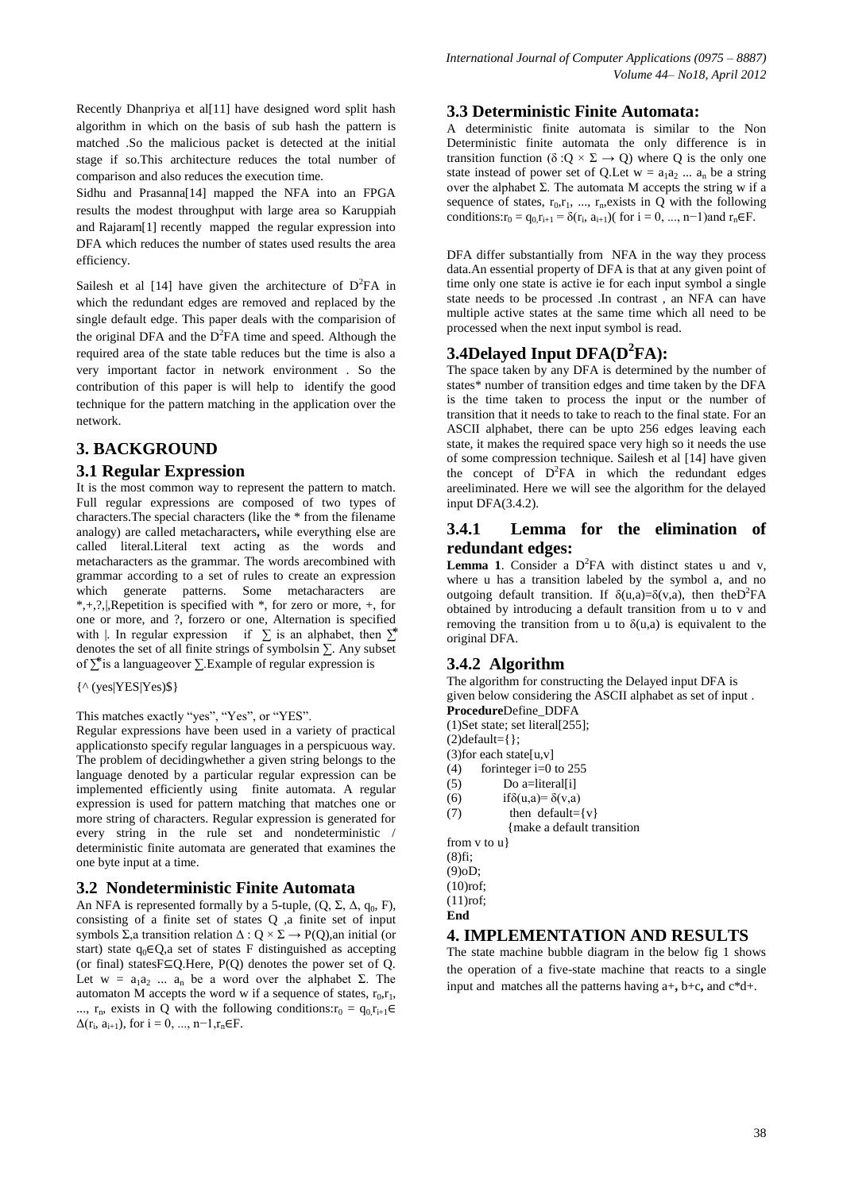Recently Dhanpriya et al[11] have designed word split hash algorithm in which on the basis of sub hash the pattern is matched .So the malicious packet is detected at the initial stage if so.This architecture reduces the total number of comparison and also reduces the execution time.

Sidhu and Prasanna[14] mapped the NFA into an FPGA results the modest throughput with large area so Karuppiah and Rajaram[1] recently mapped the regular expression into DFA which reduces the number of states used results the area efficiency.

Sailesh et al  $[14]$  have given the architecture of  $D^2FA$  in which the redundant edges are removed and replaced by the single default edge. This paper deals with the comparision of the original DFA and the  $D^2FA$  time and speed. Although the required area of the state table reduces but the time is also a very important factor in network environment . So the contribution of this paper is will help to identify the good technique for the pattern matching in the application over the network.

# **3. BACKGROUND**

#### **3.1 Regular Expression**

It is the most common way to represent the pattern to match. Full regular expressions are composed of two types of characters.The special characters (like the \* from the filename analogy) are called metacharacters**,** while everything else are called literal.Literal text acting as the words and metacharacters as the grammar. The words arecombined with grammar according to a set of rules to create an expression which generate patterns. Some metacharacters are \*,+,?,|,Repetition is specified with \*, for zero or more, +, for one or more, and ?, forzero or one, Alternation is specified with |. In regular expression if  $\Sigma$  is an alphabet, then  $\Sigma^*$ denotes the set of all finite strings of symbolsin ∑. Any subset of ∑⃰ is a languageover ∑.Example of regular expression is

#### {^ (yes|YES|Yes)\$}

#### This matches exactly "yes", "Yes", or "YES".

Regular expressions have been used in a variety of practical applicationsto specify regular languages in a perspicuous way. The problem of decidingwhether a given string belongs to the language denoted by a particular regular expression can be implemented efficiently using finite automata. A regular expression is used for pattern matching that matches one or more string of characters. Regular expression is generated for every string in the rule set and nondeterministic / deterministic finite automata are generated that examines the one byte input at a time.

#### **3.2 Nondeterministic Finite Automata**

An NFA is represented formally by a [5-tuple,](http://en.wikipedia.org/wiki/N-tuple)  $(Q, \Sigma, \Delta, q_0, F)$ , consisting of a finite [set](http://en.wikipedia.org/wiki/Set_%28mathematics%29) of states Q ,a finite set of [input](http://en.wikipedia.org/wiki/Input_symbol)  [symbols](http://en.wikipedia.org/wiki/Input_symbol)  $\Sigma$ , a transitio[n relation](http://en.wikipedia.org/wiki/Relation_%28logic%29)  $\Delta : Q \times \Sigma \rightarrow P(Q)$ , an initial (or start) state  $q_0 \in Q$ , a set of states F distinguished as accepting (or final) statesF⊆Q.Here,  $P(Q)$  denotes the [power set](http://en.wikipedia.org/wiki/Power_set) of Q. Let  $w = a_1 a_2 ... a_n$  be a word over the alphabet  $\Sigma$ . The automaton M accepts the word w if a sequence of states,  $r_0, r_1$ , ...,  $r_n$ , exists in Q with the following conditions: $r_0 = q_{0,1}r_{i+1}$  $\Delta(r_i, a_{i+1}),$  for  $i = 0, ..., n-1, r_n \in F$ .

#### **3.3 Deterministic Finite Automata:**

A deterministic finite automata is similar to the Non Deterministic finite automata the only difference is in transition [function](http://en.wikipedia.org/wiki/Function_%28mathematics%29) ( $\delta$  : $Q \times \Sigma \rightarrow Q$ ) where Q is the only one state instead of power set of Q.Let  $w = a_1 a_2 ... a_n$  be a string over the alphabet Σ. The automata M accepts the string w if a sequence of states,  $r_0, r_1, ..., r_n$ , exists in Q with the following conditions: $r_0 = q_{0}r_{i+1} = \delta(r_i, a_{i+1})$  (for  $i = 0, ..., n-1$ )and  $r_n \in F$ .

DFA differ substantially from NFA in the way they process data.An essential property of DFA is that at any given point of time only one state is active ie for each input symbol a single state needs to be processed .In contrast , an NFA can have multiple active states at the same time which all need to be processed when the next input symbol is read.

# **3.4Delayed Input DFA(D<sup>2</sup> FA):**

The space taken by any DFA is determined by the number of states\* number of transition edges and time taken by the DFA is the time taken to process the input or the number of transition that it needs to take to reach to the final state. For an ASCII alphabet, there can be upto 256 edges leaving each state, it makes the required space very high so it needs the use of some compression technique. Sailesh et al [14] have given the concept of D<sup>2</sup>FA in which the redundant edges areeliminated. Here we will see the algorithm for the delayed input DFA(3.4.2).

# **3.4.1 Lemma for the elimination of redundant edges:**

**Lemma 1**. Consider a  $D^2FA$  with distinct states u and v, where u has a transition labeled by the symbol a, and no outgoing default transition. If  $\delta(u,a)=\delta(v,a)$ , then the D<sup>2</sup>FA obtained by introducing a default transition from u to v and removing the transition from u to  $\delta(u,a)$  is equivalent to the original DFA.

# **3.4.2 Algorithm**

The algorithm for constructing the Delayed input DFA is given below considering the ASCII alphabet as set of input . **Procedure**Define\_DDFA

(1)Set state; set literal[255];

- $(2)$ default={};
- (3)for each state[u,v]
- (4) for integer i=0 to 255
- (5) Do a=literal[i]
- (6) if  $\delta(u,a) = \delta(v,a)$
- (7) then default= $\{v\}$ 
	- {make a default transition

from v to u} (8)fi; (9)oD; (10)rof;

(11)rof;

**End**

#### **4. IMPLEMENTATION AND RESULTS**

The state machine bubble diagram in the below fig 1 shows the operation of a five-state machine that reacts to a single input and matches all the patterns having a+**,** b+c**,** and c\*d+.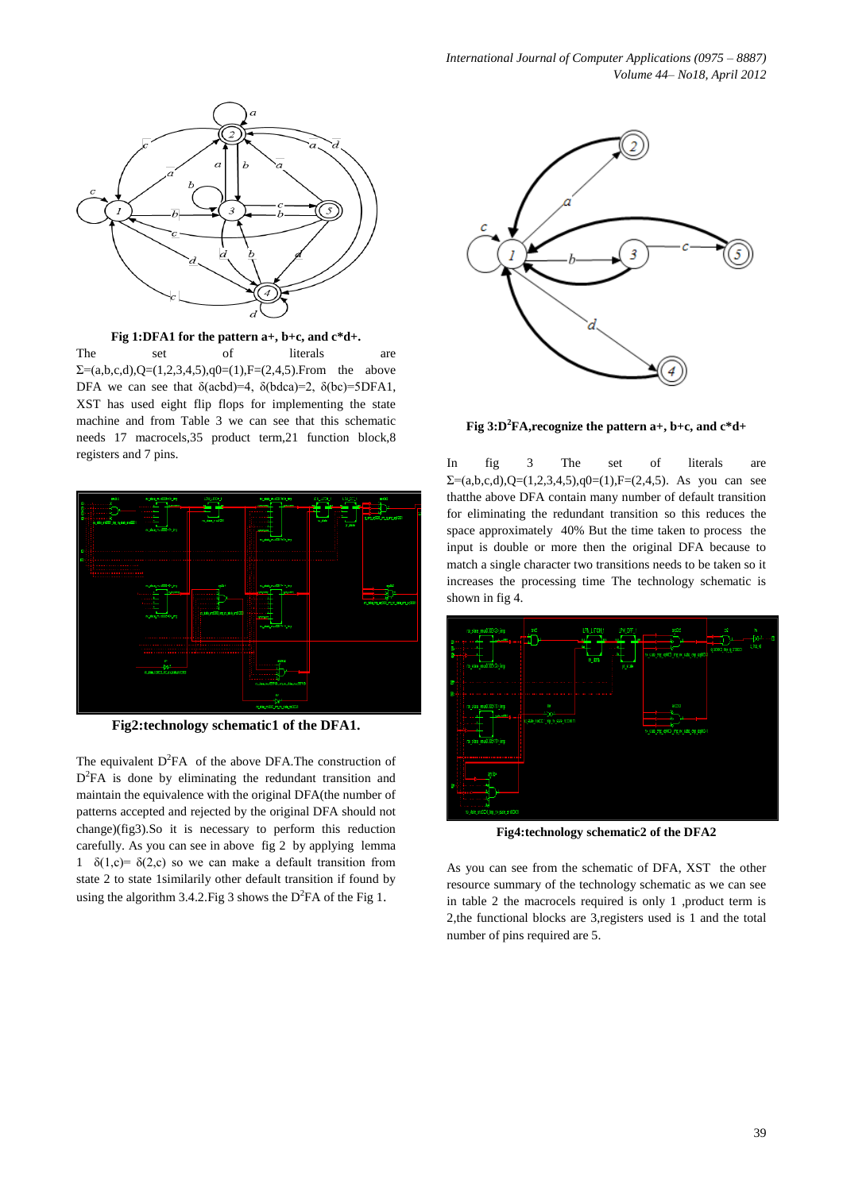

**Fig 1:DFA1 for the pattern a+, b+c, and c\*d+.** The set of literals are  $\Sigma = (a,b,c,d), Q = (1,2,3,4,5), q0 = (1), F = (2,4,5)$ . From the above DFA we can see that  $\delta(\text{acbd})=4$ ,  $\delta(\text{bdca})=2$ ,  $\delta(\text{bc})=5\text{DFA1}$ , XST has used eight flip flops for implementing the state machine and from Table 3 we can see that this schematic needs 17 macrocels,35 product term,21 function block,8 registers and 7 pins.



**Fig2:technology schematic1 of the DFA1.**

The equivalent  $D^2FA$  of the above DFA. The construction of D 2 FA is done by eliminating the redundant transition and maintain the equivalence with the original DFA(the number of patterns accepted and rejected by the original DFA should not change)(fig3).So it is necessary to perform this reduction carefully. As you can see in above fig 2 by applying lemma 1  $\delta(1,c) = \delta(2,c)$  so we can make a default transition from state 2 to state 1similarily other default transition if found by using the algorithm 3.4.2. Fig 3 shows the  $D^2FA$  of the Fig 1.



**Fig 3:D<sup>2</sup>FA, recognize the pattern a+, b+c, and**  $c^*d+$ 

In fig 3 The set of literals are  $\Sigma = (a,b,c,d), Q = (1,2,3,4,5), q0 = (1), F = (2,4,5).$  As you can see thatthe above DFA contain many number of default transition for eliminating the redundant transition so this reduces the space approximately 40% But the time taken to process the input is double or more then the original DFA because to match a single character two transitions needs to be taken so it increases the processing time The technology schematic is shown in fig 4.



**Fig4:technology schematic2 of the DFA2**

As you can see from the schematic of DFA, XST the other resource summary of the technology schematic as we can see in table 2 the macrocels required is only 1 ,product term is 2,the functional blocks are 3,registers used is 1 and the total number of pins required are 5.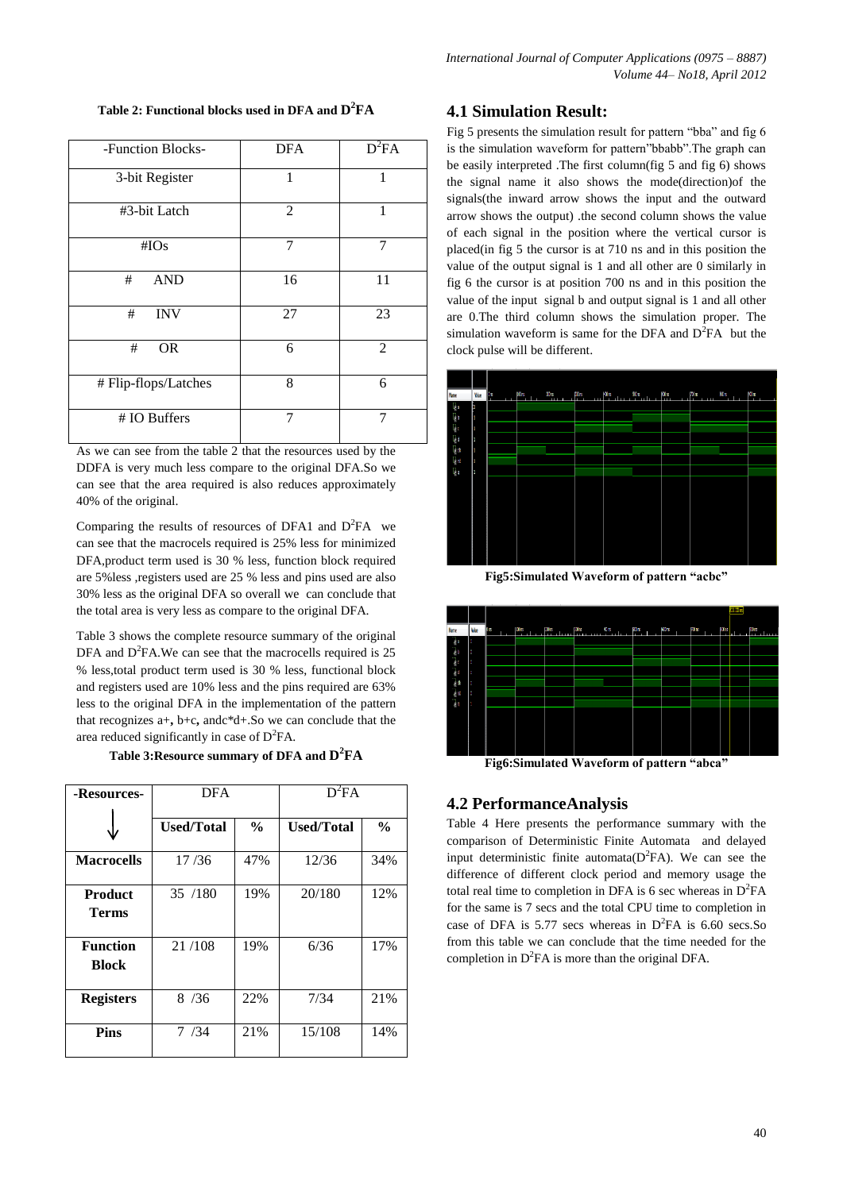| -Function Blocks-    | <b>DFA</b>     | $D^2FA$        |
|----------------------|----------------|----------------|
| 3-bit Register       | 1              | 1              |
| #3-bit Latch         | $\overline{2}$ | 1              |
| $\#IOs$              | 7              | 7              |
| <b>AND</b><br>#      | 16             | 11             |
| #<br><b>INV</b>      | 27             | 23             |
| <b>OR</b><br>#       | 6              | $\overline{2}$ |
| # Flip-flops/Latches | 8              | 6              |
| # IO Buffers         | 7              | 7              |

As we can see from the table 2 that the resources used by the DDFA is very much less compare to the original DFA.So we can see that the area required is also reduces approximately 40% of the original.

Comparing the results of resources of DFA1 and  $D^2FA$  we can see that the macrocels required is 25% less for minimized DFA,product term used is 30 % less, function block required are 5%less ,registers used are 25 % less and pins used are also 30% less as the original DFA so overall we can conclude that the total area is very less as compare to the original DFA.

Table 3 shows the complete resource summary of the original DFA and  $D^2FA$ . We can see that the macrocells required is 25 % less,total product term used is 30 % less, functional block and registers used are 10% less and the pins required are 63% less to the original DFA in the implementation of the pattern that recognizes a+**,** b+c**,** andc\*d+.So we can conclude that the area reduced significantly in case of  $D^2FA$ .

**Table 3:Resource summary of DFA and D <sup>2</sup>FA**

| -Resources-                     | <b>DFA</b>        |               | $D^2FA$           |               |
|---------------------------------|-------------------|---------------|-------------------|---------------|
|                                 | <b>Used/Total</b> | $\frac{0}{0}$ | <b>Used/Total</b> | $\frac{0}{0}$ |
| <b>Macrocells</b>               | 17/36             | 47%           | 12/36             | 34%           |
| <b>Product</b><br>Terms         | 35 /180           | 19%           | 20/180            | 12%           |
| <b>Function</b><br><b>Block</b> | 21/108            | 19%           | 6/36              | 17%           |
| <b>Registers</b>                | 8/36              | 22%           | 7/34              | 21%           |
| <b>Pins</b>                     | 7 / 34            | 21%           | 15/108            | 14%           |

#### **4.1 Simulation Result:**

Fig 5 presents the simulation result for pattern "bba" and fig 6 is the simulation waveform for pattern"bbabb".The graph can be easily interpreted .The first column(fig 5 and fig 6) shows the signal name it also shows the mode(direction)of the signals(the inward arrow shows the input and the outward arrow shows the output) .the second column shows the value of each signal in the position where the vertical cursor is placed(in fig 5 the cursor is at 710 ns and in this position the value of the output signal is 1 and all other are 0 similarly in fig 6 the cursor is at position 700 ns and in this position the value of the input signal b and output signal is 1 and all other are 0.The third column shows the simulation proper. The simulation waveform is same for the DFA and  $D^2FA$  but the clock pulse will be different.



**Fig5:Simulated Waveform of pattern "acbc"**



**Fig6:Simulated Waveform of pattern "abca"**

#### **4.2 PerformanceAnalysis**

Table 4 Here presents the performance summary with the comparison of Deterministic Finite Automata and delayed input deterministic finite automata( $D^2FA$ ). We can see the difference of different clock period and memory usage the total real time to completion in DFA is 6 sec whereas in  $D^2FA$ for the same is 7 secs and the total CPU time to completion in case of DFA is 5.77 secs whereas in  $D^2FA$  is 6.60 secs.So from this table we can conclude that the time needed for the completion in  $D^2FA$  is more than the original DFA.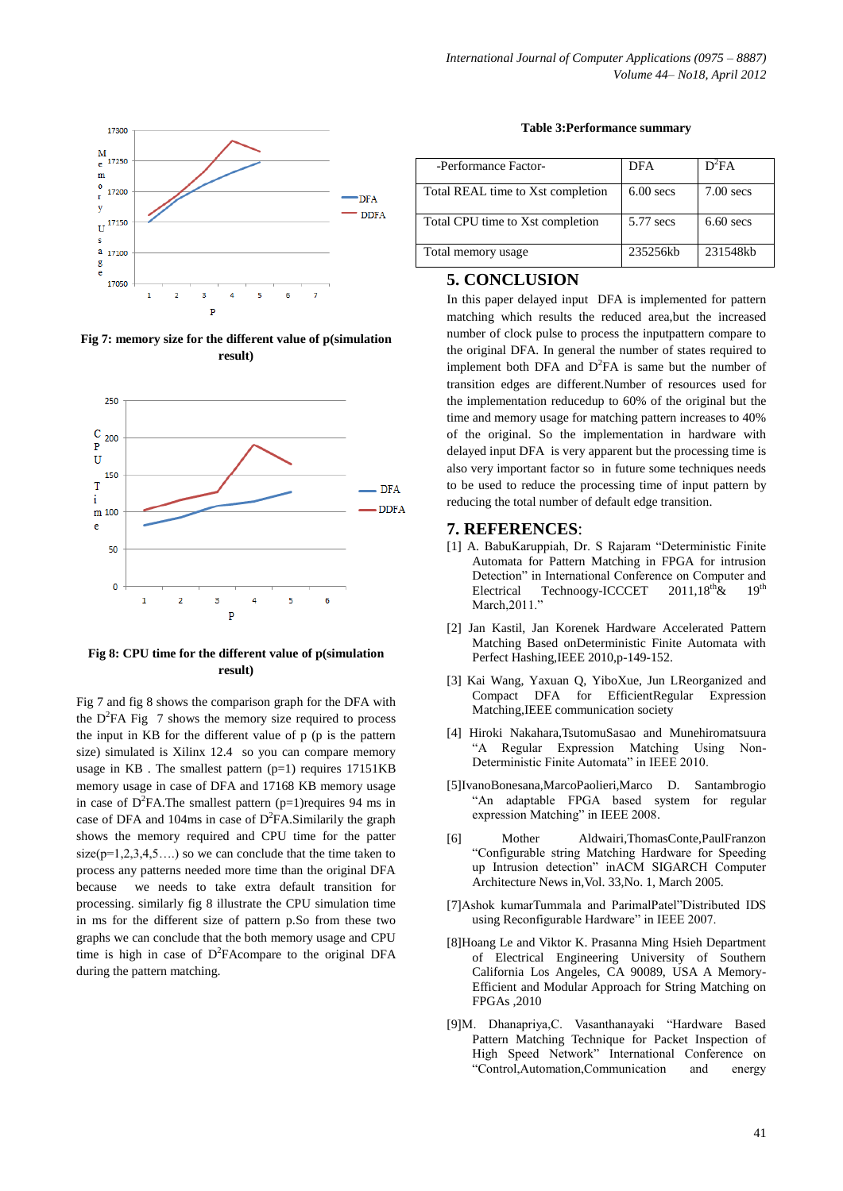

**Fig 7: memory size for the different value of p(simulation result)**



**Fig 8: CPU time for the different value of p(simulation result)**

Fig 7 and fig 8 shows the comparison graph for the DFA with the  $D^2FA$  Fig 7 shows the memory size required to process the input in KB for the different value of p (p is the pattern size) simulated is Xilinx 12.4 so you can compare memory usage in  $KB$ . The smallest pattern  $(p=1)$  requires 17151KB memory usage in case of DFA and 17168 KB memory usage in case of  $D^2FA$ . The smallest pattern (p=1) requires 94 ms in case of DFA and 104ms in case of  $D^2FA$ . Similarily the graph shows the memory required and CPU time for the patter  $size(p=1,2,3,4,5...)$  so we can conclude that the time taken to process any patterns needed more time than the original DFA because we needs to take extra default transition for processing. similarly fig 8 illustrate the CPU simulation time in ms for the different size of pattern p.So from these two graphs we can conclude that the both memory usage and CPU time is high in case of  $D^2F$ Acompare to the original DFA during the pattern matching.

| Table 3: Performance summary |  |
|------------------------------|--|
|------------------------------|--|

| -Performance Factor-              | DFA         | D-FA        |
|-----------------------------------|-------------|-------------|
| Total REAL time to Xst completion | $6.00$ secs | $7.00$ secs |
| Total CPU time to Xst completion  | 5.77 secs   | $6.60$ secs |
| Total memory usage                | 235256kb    | 231548kb    |

#### **5. CONCLUSION**

In this paper delayed input DFA is implemented for pattern matching which results the reduced area,but the increased number of clock pulse to process the inputpattern compare to the original DFA. In general the number of states required to implement both DFA and  $D^2FA$  is same but the number of transition edges are different.Number of resources used for the implementation reducedup to 60% of the original but the time and memory usage for matching pattern increases to 40% of the original. So the implementation in hardware with delayed input DFA is very apparent but the processing time is also very important factor so in future some techniques needs to be used to reduce the processing time of input pattern by reducing the total number of default edge transition.

#### **7. REFERENCES**:

- [1] A. BabuKaruppiah, Dr. S Rajaram "Deterministic Finite Automata for Pattern Matching in FPGA for intrusion Detection" in International Conference on Computer and Electrical Technoogy-ICCCET  $2011,18^{th}$ &  $19^{th}$ March,2011."
- [2] Jan Kastil, Jan Korenek Hardware Accelerated Pattern Matching Based onDeterministic Finite Automata with Perfect Hashing,IEEE 2010,p-149-152.
- [3] Kai Wang, Yaxuan Q, YiboXue, Jun LReorganized and Compact DFA for EfficientRegular Expression Matching,IEEE communication society
- [4] Hiroki Nakahara,TsutomuSasao and Munehiromatsuura "A Regular Expression Matching Using Non-Deterministic Finite Automata" in IEEE 2010.
- [5]IvanoBonesana,MarcoPaolieri,Marco D. Santambrogio "An adaptable FPGA based system for regular expression Matching" in IEEE 2008.
- [6] Mother Aldwairi,ThomasConte,PaulFranzon "Configurable string Matching Hardware for Speeding up Intrusion detection" inACM SIGARCH Computer Architecture News in,Vol. 33,No. 1, March 2005.
- [7]Ashok kumarTummala and ParimalPatel"Distributed IDS using Reconfigurable Hardware" in IEEE 2007.
- [8]Hoang Le and Viktor K. Prasanna Ming Hsieh Department of Electrical Engineering University of Southern California Los Angeles, CA 90089, USA A Memory-Efficient and Modular Approach for String Matching on  $FPGAs 2010$
- [9]M. Dhanapriya,C. Vasanthanayaki "Hardware Based Pattern Matching Technique for Packet Inspection of High Speed Network" International Conference on "Control,Automation,Communication and energy